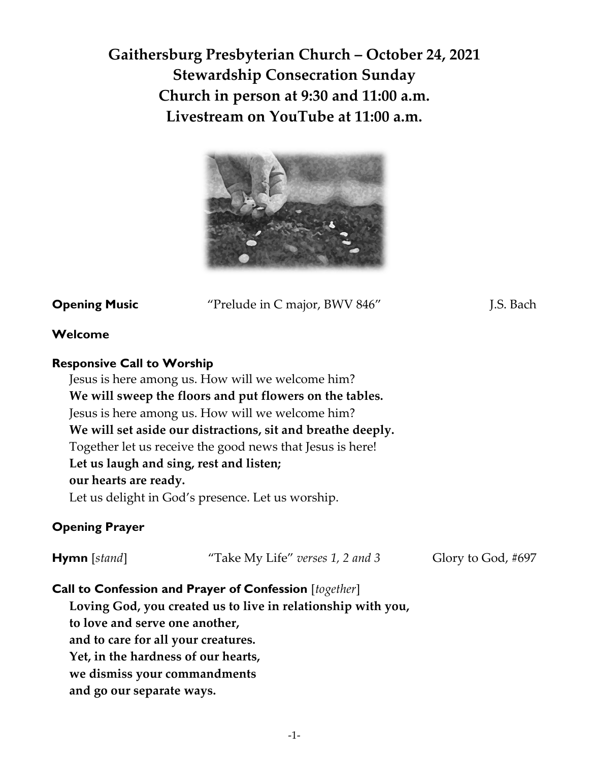**Gaithersburg Presbyterian Church – October 24, 2021 Stewardship Consecration Sunday Church in person at 9:30 and 11:00 a.m. Livestream on YouTube at 11:00 a.m.**



**Opening Music** "Prelude in C major, BWV 846" [.S. Bach]

## **Welcome**

## **Responsive Call to Worship**

Jesus is here among us. How will we welcome him? **We will sweep the floors and put flowers on the tables.**  Jesus is here among us. How will we welcome him? **We will set aside our distractions, sit and breathe deeply.**  Together let us receive the good news that Jesus is here! **Let us laugh and sing, rest and listen; our hearts are ready.**  Let us delight in God's presence. Let us worship.

# **Opening Prayer**

| $Hymn$ [stand] | "Take My Life" verses 1, 2 and 3 | Glory to God, #697 |
|----------------|----------------------------------|--------------------|
|----------------|----------------------------------|--------------------|

## **Call to Confession and Prayer of Confession** [*together*]

**Loving God, you created us to live in relationship with you, to love and serve one another, and to care for all your creatures. Yet, in the hardness of our hearts, we dismiss your commandments and go our separate ways.**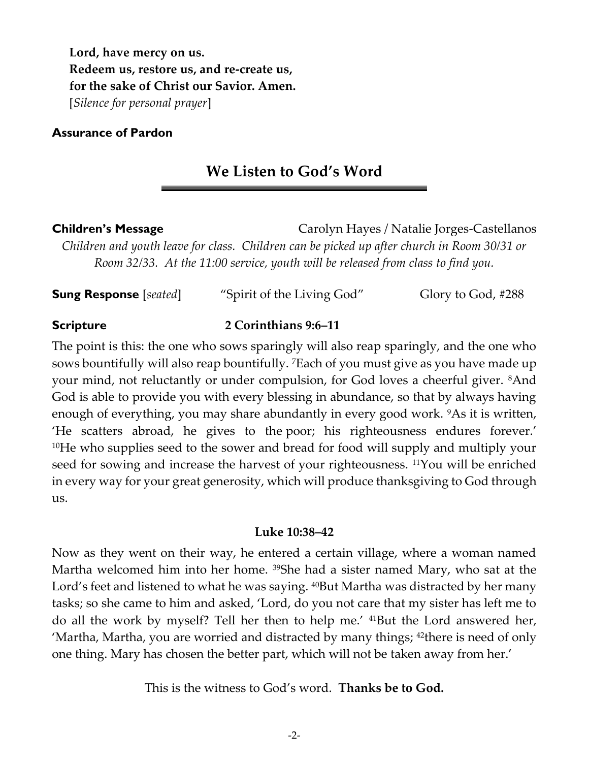**Lord, have mercy on us. Redeem us, restore us, and re-create us, for the sake of Christ our Savior. Amen.** [*Silence for personal prayer*]

**Assurance of Pardon** 

# **We Listen to God's Word**

**Children's Message** Carolyn Hayes / Natalie Jorges-Castellanos *Children and youth leave for class. Children can be picked up after church in Room 30/31 or Room 32/33. At the 11:00 service, youth will be released from class to find you.* 

**Sung Response** [*seated*] "Spirit of the Living God" Glory to God, #288

# **Scripture 2 Corinthians 9:6–11**

The point is this: the one who sows sparingly will also reap sparingly, and the one who sows bountifully will also reap bountifully. 7Each of you must give as you have made up your mind, not reluctantly or under compulsion, for God loves a cheerful giver. 8And God is able to provide you with every blessing in abundance, so that by always having enough of everything, you may share abundantly in every good work. <sup>9</sup>As it is written, 'He scatters abroad, he gives to the poor; his righteousness endures forever.' <sup>10</sup>He who supplies seed to the sower and bread for food will supply and multiply your seed for sowing and increase the harvest of your righteousness. <sup>11</sup>You will be enriched in every way for your great generosity, which will produce thanksgiving to God through us.

# **Luke 10:38–42**

Now as they went on their way, he entered a certain village, where a woman named Martha welcomed him into her home. <sup>39</sup>She had a sister named Mary, who sat at the Lord's feet and listened to what he was saying. <sup>40</sup>But Martha was distracted by her many tasks; so she came to him and asked, 'Lord, do you not care that my sister has left me to do all the work by myself? Tell her then to help me.' 41But the Lord answered her, 'Martha, Martha, you are worried and distracted by many things; <sup>42</sup>there is need of only one thing. Mary has chosen the better part, which will not be taken away from her.'

This is the witness to God's word. **Thanks be to God.**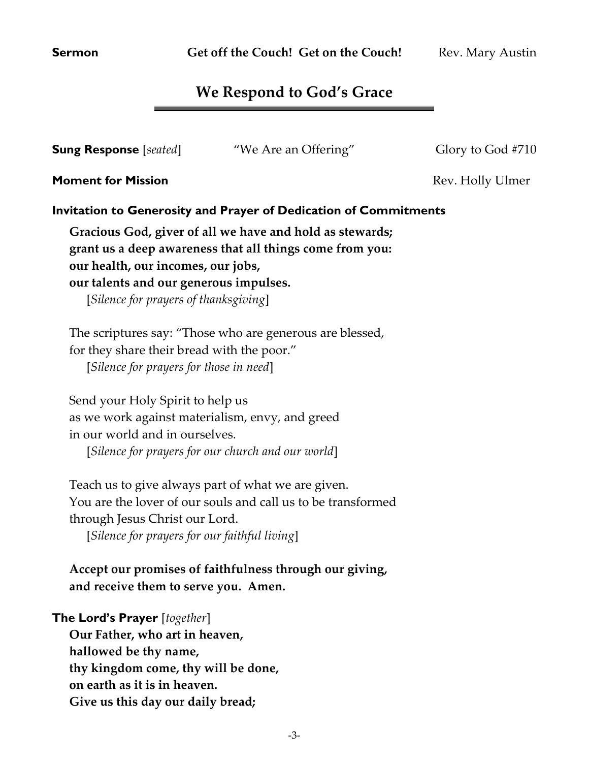# **We Respond to God's Grace**

| <b>Sung Response</b> [seated]                                                                                         | "We Are an Offering"                                                                                                 | Glory to God #710 |
|-----------------------------------------------------------------------------------------------------------------------|----------------------------------------------------------------------------------------------------------------------|-------------------|
| <b>Moment for Mission</b>                                                                                             |                                                                                                                      | Rev. Holly Ulmer  |
|                                                                                                                       | <b>Invitation to Generosity and Prayer of Dedication of Commitments</b>                                              |                   |
| our health, our incomes, our jobs,<br>our talents and our generous impulses.<br>[Silence for prayers of thanksgiving] | Gracious God, giver of all we have and hold as stewards;<br>grant us a deep awareness that all things come from you: |                   |
| for they share their bread with the poor."<br>[Silence for prayers for those in need]                                 | The scriptures say: "Those who are generous are blessed,                                                             |                   |
| Send your Holy Spirit to help us<br>in our world and in ourselves.                                                    | as we work against materialism, envy, and greed                                                                      |                   |

[*Silence for prayers for our church and our world*]

Teach us to give always part of what we are given. You are the lover of our souls and call us to be transformed through Jesus Christ our Lord.

[*Silence for prayers for our faithful living*]

# **Accept our promises of faithfulness through our giving, and receive them to serve you. Amen.**

# **The Lord's Prayer** [*together*]

**Our Father, who art in heaven, hallowed be thy name, thy kingdom come, thy will be done, on earth as it is in heaven. Give us this day our daily bread;**